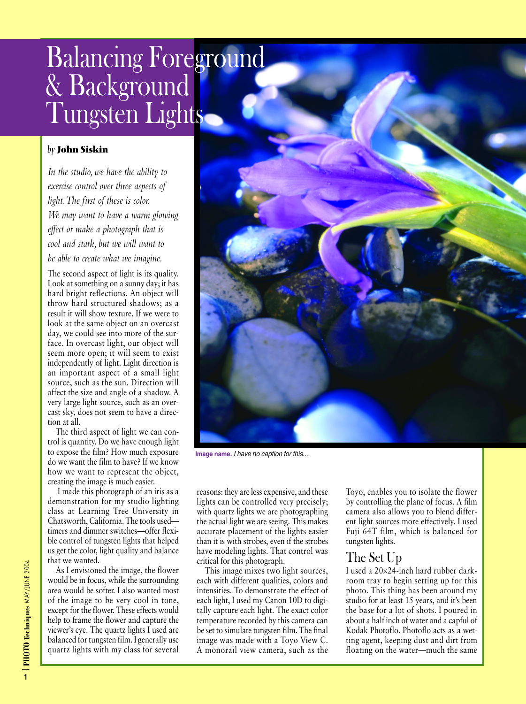## Balancing Foreground & Background Tungsten Lights

## *by* **John Siskin**

*In the studio, we have the ability to exercise control over three aspects of light.The first of these is color. We may want to have a warm glowing effect or make a photograph that is cool and stark, but we will want to be able to create what we imagine.*

The second aspect of light is its quality. Look at something on a sunny day; it has hard bright reflections. An object will throw hard structured shadows; as a result it will show texture. If we were to look at the same object on an overcast day, we could see into more of the surface. In overcast light, our object will seem more open; it will seem to exist independently of light. Light direction is an important aspect of a small light source, such as the sun. Direction will affect the size and angle of a shadow. A very large light source, such as an overcast sky, does not seem to have a direction at all.

The third aspect of light we can control is quantity. Do we have enough light to expose the film? How much exposure do we want the film to have? If we know how we want to represent the object, creating the image is much easier.

I made this photograph of an iris as a demonstration for my studio lighting class at Learning Tree University in Chatsworth, California. The tools used timers and dimmer switches—offer flexible control of tungsten lights that helped us get the color, light quality and balance that we wanted.

As I envisioned the image, the flower would be in focus, while the surrounding area would be softer. I also wanted most of the image to be very cool in tone, except for the flower. These effects would help to frame the flower and capture the viewer's eye. The quartz lights I used are balanced for tungsten film. I generally use quartz lights with my class for several

reasons: they are less expensive, and these lights can be controlled very precisely; with quartz lights we are photographing the actual light we are seeing. This makes accurate placement of the lights easier than it is with strobes, even if the strobes have modeling lights. That control was critical for this photograph.

This image mixes two light sources, each with different qualities, colors and intensities. To demonstrate the effect of each light, I used my Canon 10D to digitally capture each light. The exact color temperature recorded by this camera can be set to simulate tungsten film. The final image was made with a Toyo View C. A monorail view camera, such as the Toyo, enables you to isolate the flower by controlling the plane of focus. A film camera also allows you to blend different light sources more effectively. I used Fuji 64T film, which is balanced for tungsten lights.

## The Set Up

I used a 20×24-inch hard rubber darkroom tray to begin setting up for this photo. This thing has been around my studio for at least 15 years, and it's been the base for a lot of shots. I poured in about a half inch of water and a capful of Kodak Photoflo. Photoflo acts as a wetting agent, keeping dust and dirt from floating on the water—much the same

**PHOTO Techniques** MAY/JUNE 2004



**Image name.** I have no caption for this....

**|1**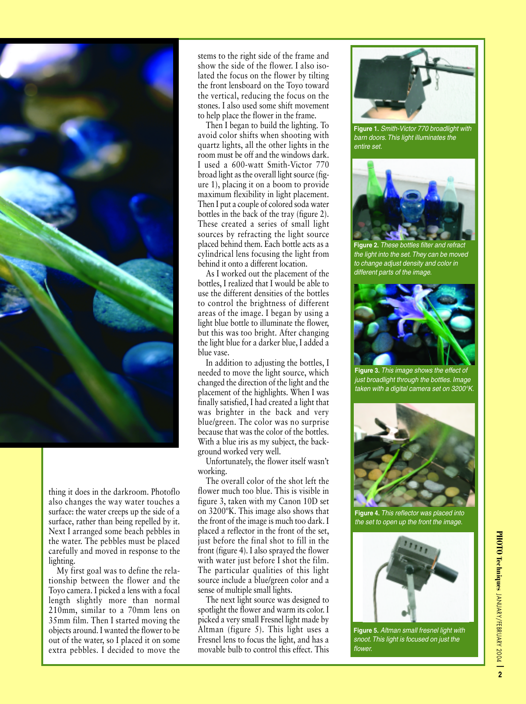

thing it does in the darkroom. Photoflo also changes the way water touches a surface: the water creeps up the side of a surface, rather than being repelled by it. Next I arranged some beach pebbles in the water. The pebbles must be placed carefully and moved in response to the lighting.

My first goal was to define the relationship between the flower and the Toyo camera. I picked a lens with a focal length slightly more than normal 210mm, similar to a 70mm lens on 35mm film. Then I started moving the objects around. I wanted the flower to be out of the water, so I placed it on some extra pebbles. I decided to move the

stems to the right side of the frame and show the side of the flower. I also isolated the focus on the flower by tilting the front lensboard on the Toyo toward the vertical, reducing the focus on the stones. I also used some shift movement to help place the flower in the frame.

Then I began to build the lighting. To avoid color shifts when shooting with quartz lights, all the other lights in the room must be off and the windows dark. I used a 600-watt Smith-Victor 770 broad light as the overall light source (figure 1), placing it on a boom to provide maximum flexibility in light placement. Then I put a couple of colored soda water bottles in the back of the tray (figure 2). These created a series of small light sources by refracting the light source placed behind them. Each bottle acts as a cylindrical lens focusing the light from behind it onto a different location.

As I worked out the placement of the bottles, I realized that I would be able to use the different densities of the bottles to control the brightness of different areas of the image. I began by using a light blue bottle to illuminate the flower, but this was too bright. After changing the light blue for a darker blue, I added a blue vase.

In addition to adjusting the bottles, I needed to move the light source, which changed the direction of the light and the placement of the highlights. When I was finally satisfied, I had created a light that was brighter in the back and very blue/green. The color was no surprise because that was the color of the bottles. With a blue iris as my subject, the background worked very well.

Unfortunately, the flower itself wasn't working.

The overall color of the shot left the flower much too blue. This is visible in figure 3, taken with my Canon 10D set on 3200ºK. This image also shows that the front of the image is much too dark. I placed a reflector in the front of the set, just before the final shot to fill in the front (figure 4). I also sprayed the flower with water just before I shot the film. The particular qualities of this light source include a blue/green color and a sense of multiple small lights.

The next light source was designed to spotlight the flower and warm its color. I picked a very small Fresnel light made by Altman (figure 5). This light uses a Fresnel lens to focus the light, and has a movable bulb to control this effect. This



**Figure 1.** Smith-Victor 770 broadlight with barn doors. This light illuminates the entire set.



**Figure 2.** These bottles filter and refract the light into the set. They can be moved to change adjust density and color in different parts of the *image*.



**Figure 3.** This image shows the effect of just broadlight through the bottles. Image taken with a digital camera set on 3200°K.



**Figure 4.** This reflector was placed into the set to open up the front the image.



**Figure 5.** Altman small fresnel light with snoot. This light is focused on just the flower.